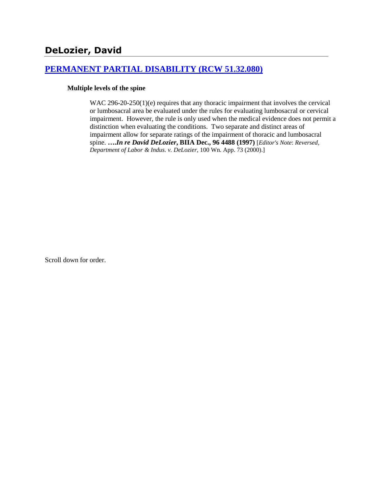## **[PERMANENT PARTIAL DISABILITY \(RCW 51.32.080\)](http://www.biia.wa.gov/SDSubjectIndex.html#PERMANENT_PARTIAL_DISABILITY)**

#### **Multiple levels of the spine**

WAC 296-20-250(1)(e) requires that any thoracic impairment that involves the cervical or lumbosacral area be evaluated under the rules for evaluating lumbosacral or cervical impairment. However, the rule is only used when the medical evidence does not permit a distinction when evaluating the conditions. Two separate and distinct areas of impairment allow for separate ratings of the impairment of thoracic and lumbosacral spine. **….***In re David DeLozier***, BIIA Dec., 96 4488 (1997)** [*Editor's Note*: *Reversed, Department of Labor & Indus. v. DeLozier*, 100 Wn. App. 73 (2000).]

Scroll down for order.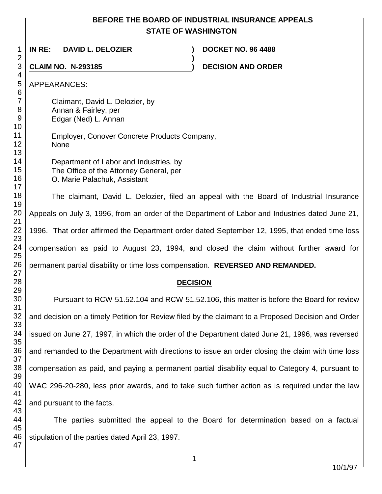# **BEFORE THE BOARD OF INDUSTRIAL INSURANCE APPEALS STATE OF WASHINGTON**

**)**

 **IN RE: DAVID L. DELOZIER ) DOCKET NO. 96 4488**

**CLAIM NO. N-293185 ) DECISION AND ORDER** 

APPEARANCES:

Claimant, David L. Delozier, by Annan & Fairley, per Edgar (Ned) L. Annan

Employer, Conover Concrete Products Company, None

Department of Labor and Industries, by The Office of the Attorney General, per O. Marie Palachuk, Assistant

The claimant, David L. Delozier, filed an appeal with the Board of Industrial Insurance Appeals on July 3, 1996, from an order of the Department of Labor and Industries dated June 21, 1996. That order affirmed the Department order dated September 12, 1995, that ended time loss compensation as paid to August 23, 1994, and closed the claim without further award for permanent partial disability or time loss compensation. **REVERSED AND REMANDED.**

## **DECISION**

Pursuant to RCW 51.52.104 and RCW 51.52.106, this matter is before the Board for review and decision on a timely Petition for Review filed by the claimant to a Proposed Decision and Order issued on June 27, 1997, in which the order of the Department dated June 21, 1996, was reversed and remanded to the Department with directions to issue an order closing the claim with time loss compensation as paid, and paying a permanent partial disability equal to Category 4, pursuant to WAC 296-20-280, less prior awards, and to take such further action as is required under the law and pursuant to the facts.

The parties submitted the appeal to the Board for determination based on a factual stipulation of the parties dated April 23, 1997.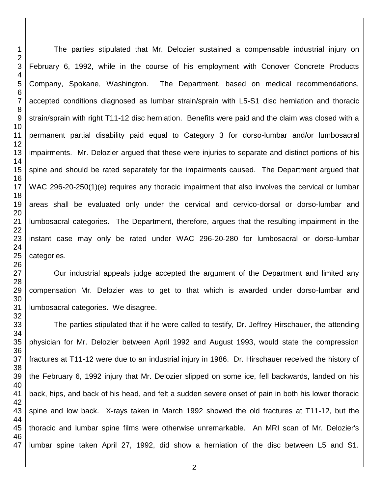The parties stipulated that Mr. Delozier sustained a compensable industrial injury on February 6, 1992, while in the course of his employment with Conover Concrete Products Company, Spokane, Washington. The Department, based on medical recommendations, accepted conditions diagnosed as lumbar strain/sprain with L5-S1 disc herniation and thoracic strain/sprain with right T11-12 disc herniation. Benefits were paid and the claim was closed with a permanent partial disability paid equal to Category 3 for dorso-lumbar and/or lumbosacral impairments. Mr. Delozier argued that these were injuries to separate and distinct portions of his spine and should be rated separately for the impairments caused. The Department argued that WAC 296-20-250(1)(e) requires any thoracic impairment that also involves the cervical or lumbar areas shall be evaluated only under the cervical and cervico-dorsal or dorso-lumbar and lumbosacral categories. The Department, therefore, argues that the resulting impairment in the instant case may only be rated under WAC 296-20-280 for lumbosacral or dorso-lumbar categories.

Our industrial appeals judge accepted the argument of the Department and limited any compensation Mr. Delozier was to get to that which is awarded under dorso-lumbar and lumbosacral categories. We disagree.

The parties stipulated that if he were called to testify, Dr. Jeffrey Hirschauer, the attending physician for Mr. Delozier between April 1992 and August 1993, would state the compression fractures at T11-12 were due to an industrial injury in 1986. Dr. Hirschauer received the history of the February 6, 1992 injury that Mr. Delozier slipped on some ice, fell backwards, landed on his back, hips, and back of his head, and felt a sudden severe onset of pain in both his lower thoracic spine and low back. X-rays taken in March 1992 showed the old fractures at T11-12, but the thoracic and lumbar spine films were otherwise unremarkable. An MRI scan of Mr. Delozier's lumbar spine taken April 27, 1992, did show a herniation of the disc between L5 and S1.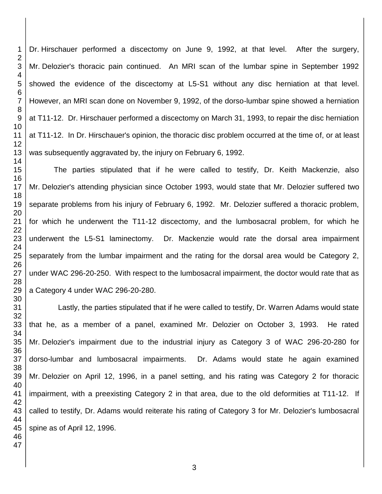Dr. Hirschauer performed a discectomy on June 9, 1992, at that level. After the surgery, Mr. Delozier's thoracic pain continued. An MRI scan of the lumbar spine in September 1992 showed the evidence of the discectomy at L5-S1 without any disc herniation at that level. However, an MRI scan done on November 9, 1992, of the dorso-lumbar spine showed a herniation at T11-12. Dr. Hirschauer performed a discectomy on March 31, 1993, to repair the disc herniation at T11-12. In Dr. Hirschauer's opinion, the thoracic disc problem occurred at the time of, or at least was subsequently aggravated by, the injury on February 6, 1992.

The parties stipulated that if he were called to testify, Dr. Keith Mackenzie, also Mr. Delozier's attending physician since October 1993, would state that Mr. Delozier suffered two separate problems from his injury of February 6, 1992. Mr. Delozier suffered a thoracic problem, for which he underwent the T11-12 discectomy, and the lumbosacral problem, for which he underwent the L5-S1 laminectomy. Dr. Mackenzie would rate the dorsal area impairment separately from the lumbar impairment and the rating for the dorsal area would be Category 2, under WAC 296-20-250. With respect to the lumbosacral impairment, the doctor would rate that as a Category 4 under WAC 296-20-280.

 Lastly, the parties stipulated that if he were called to testify, Dr. Warren Adams would state that he, as a member of a panel, examined Mr. Delozier on October 3, 1993. He rated Mr. Delozier's impairment due to the industrial injury as Category 3 of WAC 296-20-280 for dorso-lumbar and lumbosacral impairments. Dr. Adams would state he again examined Mr. Delozier on April 12, 1996, in a panel setting, and his rating was Category 2 for thoracic impairment, with a preexisting Category 2 in that area, due to the old deformities at T11-12. If called to testify, Dr. Adams would reiterate his rating of Category 3 for Mr. Delozier's lumbosacral spine as of April 12, 1996.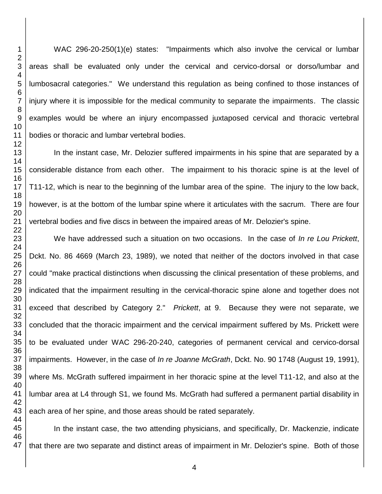WAC 296-20-250(1)(e) states: "Impairments which also involve the cervical or lumbar areas shall be evaluated only under the cervical and cervico-dorsal or dorso/lumbar and lumbosacral categories." We understand this regulation as being confined to those instances of injury where it is impossible for the medical community to separate the impairments. The classic examples would be where an injury encompassed juxtaposed cervical and thoracic vertebral bodies or thoracic and lumbar vertebral bodies.

In the instant case, Mr. Delozier suffered impairments in his spine that are separated by a considerable distance from each other. The impairment to his thoracic spine is at the level of T11-12, which is near to the beginning of the lumbar area of the spine. The injury to the low back, however, is at the bottom of the lumbar spine where it articulates with the sacrum. There are four vertebral bodies and five discs in between the impaired areas of Mr. Delozier's spine.

We have addressed such a situation on two occasions. In the case of *In re Lou Prickett*, Dckt. No. 86 4669 (March 23, 1989), we noted that neither of the doctors involved in that case could "make practical distinctions when discussing the clinical presentation of these problems, and indicated that the impairment resulting in the cervical-thoracic spine alone and together does not exceed that described by Category 2." *Prickett*, at 9. Because they were not separate, we concluded that the thoracic impairment and the cervical impairment suffered by Ms. Prickett were to be evaluated under WAC 296-20-240, categories of permanent cervical and cervico-dorsal impairments. However, in the case of *In re Joanne McGrath*, Dckt. No. 90 1748 (August 19, 1991), where Ms. McGrath suffered impairment in her thoracic spine at the level T11-12, and also at the lumbar area at L4 through S1, we found Ms. McGrath had suffered a permanent partial disability in each area of her spine, and those areas should be rated separately.

 In the instant case, the two attending physicians, and specifically, Dr. Mackenzie, indicate that there are two separate and distinct areas of impairment in Mr. Delozier's spine. Both of those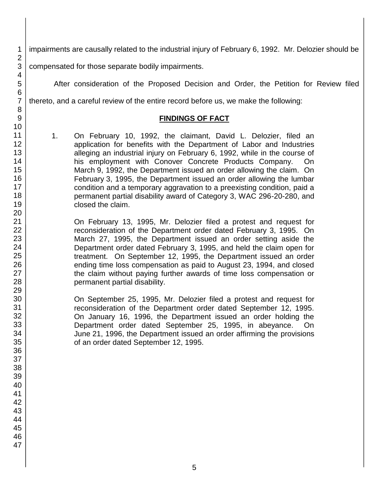impairments are causally related to the industrial injury of February 6, 1992. Mr. Delozier should be

compensated for those separate bodily impairments.

After consideration of the Proposed Decision and Order, the Petition for Review filed

thereto, and a careful review of the entire record before us, we make the following:

#### **FINDINGS OF FACT**

1. On February 10, 1992, the claimant, David L. Delozier, filed an application for benefits with the Department of Labor and Industries alleging an industrial injury on February 6, 1992, while in the course of his employment with Conover Concrete Products Company. On March 9, 1992, the Department issued an order allowing the claim. On February 3, 1995, the Department issued an order allowing the lumbar condition and a temporary aggravation to a preexisting condition, paid a permanent partial disability award of Category 3, WAC 296-20-280, and closed the claim.

On February 13, 1995, Mr. Delozier filed a protest and request for reconsideration of the Department order dated February 3, 1995. On March 27, 1995, the Department issued an order setting aside the Department order dated February 3, 1995, and held the claim open for treatment. On September 12, 1995, the Department issued an order ending time loss compensation as paid to August 23, 1994, and closed the claim without paying further awards of time loss compensation or permanent partial disability.

On September 25, 1995, Mr. Delozier filed a protest and request for reconsideration of the Department order dated September 12, 1995. On January 16, 1996, the Department issued an order holding the Department order dated September 25, 1995, in abeyance. On June 21, 1996, the Department issued an order affirming the provisions of an order dated September 12, 1995.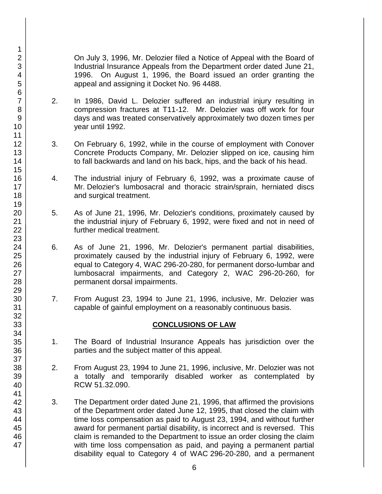On July 3, 1996, Mr. Delozier filed a Notice of Appeal with the Board of Industrial Insurance Appeals from the Department order dated June 21, 1996. On August 1, 1996, the Board issued an order granting the appeal and assigning it Docket No. 96 4488.

- 2. In 1986, David L. Delozier suffered an industrial injury resulting in compression fractures at T11-12. Mr. Delozier was off work for four days and was treated conservatively approximately two dozen times per year until 1992.
- 3. On February 6, 1992, while in the course of employment with Conover Concrete Products Company, Mr. Delozier slipped on ice, causing him to fall backwards and land on his back, hips, and the back of his head.
- 4. The industrial injury of February 6, 1992, was a proximate cause of Mr. Delozier's lumbosacral and thoracic strain/sprain, herniated discs and surgical treatment.
- 5. As of June 21, 1996, Mr. Delozier's conditions, proximately caused by the industrial injury of February 6, 1992, were fixed and not in need of further medical treatment.
- 6. As of June 21, 1996, Mr. Delozier's permanent partial disabilities, proximately caused by the industrial injury of February 6, 1992, were equal to Category 4, WAC 296-20-280, for permanent dorso-lumbar and lumbosacral impairments, and Category 2, WAC 296-20-260, for permanent dorsal impairments.
- 7. From August 23, 1994 to June 21, 1996, inclusive, Mr. Delozier was capable of gainful employment on a reasonably continuous basis.

## **CONCLUSIONS OF LAW**

- 1. The Board of Industrial Insurance Appeals has jurisdiction over the parties and the subject matter of this appeal.
- 2. From August 23, 1994 to June 21, 1996, inclusive, Mr. Delozier was not a totally and temporarily disabled worker as contemplated by RCW 51.32.090.
- 3. The Department order dated June 21, 1996, that affirmed the provisions of the Department order dated June 12, 1995, that closed the claim with time loss compensation as paid to August 23, 1994, and without further award for permanent partial disability, is incorrect and is reversed. This claim is remanded to the Department to issue an order closing the claim with time loss compensation as paid, and paying a permanent partial disability equal to Category 4 of WAC 296-20-280, and a permanent